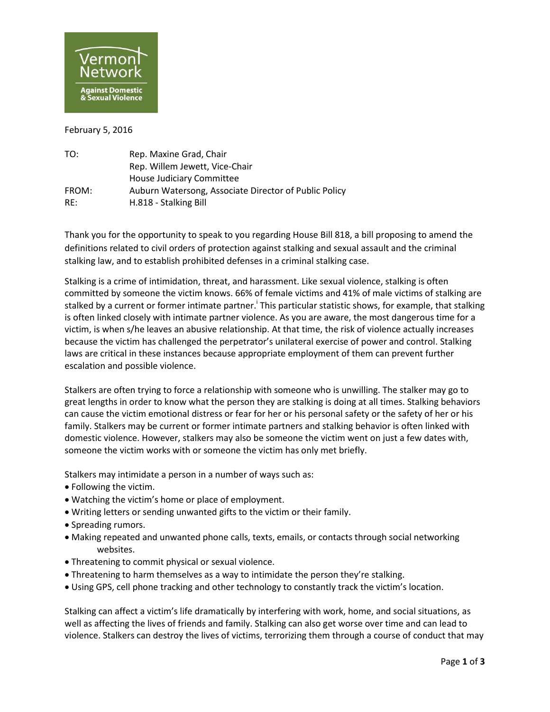

February 5, 2016

| TO:   | Rep. Maxine Grad, Chair                               |
|-------|-------------------------------------------------------|
|       | Rep. Willem Jewett, Vice-Chair                        |
|       | House Judiciary Committee                             |
| FROM: | Auburn Watersong, Associate Director of Public Policy |
| RF:   | H.818 - Stalking Bill                                 |

Thank you for the opportunity to speak to you regarding House Bill 818, a bill proposing to amend the definitions related to civil orders of protection against stalking and sexual assault and the criminal stalking law, and to establish prohibited defenses in a criminal stalking case.

Stalking is a crime of intimidation, threat, and harassment. Like sexual violence, stalking is often committed by someone the victim knows. 66% of female victims and 41% of male victims of stalking are stalked by a current or former intimate partner.<sup>†</sup> This particular statistic shows, for example, that stalking is often linked closely with intimate partner violence. As you are aware, the most dangerous time for a victim, is when s/he leaves an abusive relationship. At that time, the risk of violence actually increases because the victim has challenged the perpetrator's unilateral exercise of power and control. Stalking laws are critical in these instances because appropriate employment of them can prevent further escalation and possible violence.

Stalkers are often trying to force a relationship with someone who is unwilling. The stalker may go to great lengths in order to know what the person they are stalking is doing at all times. Stalking behaviors can cause the victim emotional distress or fear for her or his personal safety or the safety of her or his family. Stalkers may be current or former intimate partners and stalking behavior is often linked with domestic violence. However, stalkers may also be someone the victim went on just a few dates with, someone the victim works with or someone the victim has only met briefly.

Stalkers may intimidate a person in a number of ways such as:

- Following the victim.
- Watching the victim's home or place of employment.
- Writing letters or sending unwanted gifts to the victim or their family.
- Spreading rumors.
- Making repeated and unwanted phone calls, texts, emails, or contacts through social networking websites.
- Threatening to commit physical or sexual violence.
- Threatening to harm themselves as a way to intimidate the person they're stalking.
- Using GPS, cell phone tracking and other technology to constantly track the victim's location.

Stalking can affect a victim's life dramatically by interfering with work, home, and social situations, as well as affecting the lives of friends and family. Stalking can also get worse over time and can lead to violence. Stalkers can destroy the lives of victims, terrorizing them through a course of conduct that may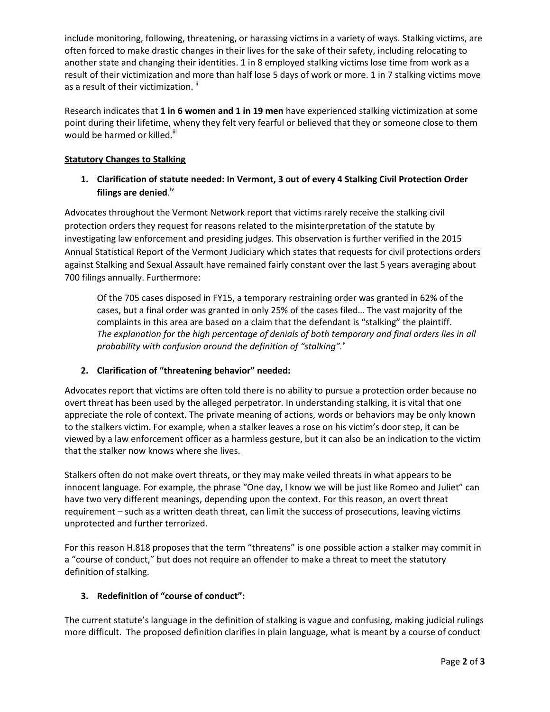include monitoring, following, threatening, or harassing victims in a variety of ways. Stalking victims, are often forced to make drastic changes in their lives for the sake of their safety, including relocating to another state and changing their identities. 1 in 8 employed stalking victims lose time from work as a result of their victimization and more than half lose 5 days of work or more. 1 in 7 stalking victims move as a result of their victimization.  $\mathsf{I}$ 

Research indicates that **1 in 6 women and 1 in 19 men** have experienced stalking victimization at some point during their lifetime, wheny they felt very fearful or believed that they or someone close to them would be harmed or killed.<sup>iii</sup>

#### **Statutory Changes to Stalking**

# **1. Clarification of statute needed: In Vermont, 3 out of every 4 Stalking Civil Protection Order**  filings are denied.<sup>iv</sup>

Advocates throughout the Vermont Network report that victims rarely receive the stalking civil protection orders they request for reasons related to the misinterpretation of the statute by investigating law enforcement and presiding judges. This observation is further verified in the 2015 Annual Statistical Report of the Vermont Judiciary which states that requests for civil protections orders against Stalking and Sexual Assault have remained fairly constant over the last 5 years averaging about 700 filings annually. Furthermore:

Of the 705 cases disposed in FY15, a temporary restraining order was granted in 62% of the cases, but a final order was granted in only 25% of the cases filed… The vast majority of the complaints in this area are based on a claim that the defendant is "stalking" the plaintiff. *The explanation for the high percentage of denials of both temporary and final orders lies in all probability with confusion around the definition of "stalking".<sup>v</sup>*

### **2. Clarification of "threatening behavior" needed:**

Advocates report that victims are often told there is no ability to pursue a protection order because no overt threat has been used by the alleged perpetrator. In understanding stalking, it is vital that one appreciate the role of context. The private meaning of actions, words or behaviors may be only known to the stalkers victim. For example, when a stalker leaves a rose on his victim's door step, it can be viewed by a law enforcement officer as a harmless gesture, but it can also be an indication to the victim that the stalker now knows where she lives.

Stalkers often do not make overt threats, or they may make veiled threats in what appears to be innocent language. For example, the phrase "One day, I know we will be just like Romeo and Juliet" can have two very different meanings, depending upon the context. For this reason, an overt threat requirement – such as a written death threat, can limit the success of prosecutions, leaving victims unprotected and further terrorized.

For this reason H.818 proposes that the term "threatens" is one possible action a stalker may commit in a "course of conduct," but does not require an offender to make a threat to meet the statutory definition of stalking.

### **3. Redefinition of "course of conduct":**

The current statute's language in the definition of stalking is vague and confusing, making judicial rulings more difficult. The proposed definition clarifies in plain language, what is meant by a course of conduct